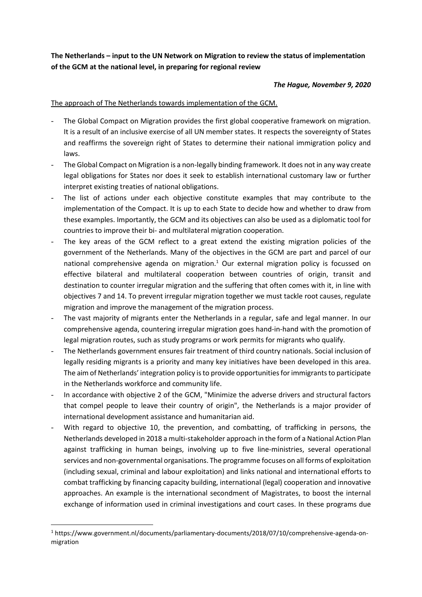**The Netherlands – input to the UN Network on Migration to review the status of implementation of the GCM at the national level, in preparing for regional review**

## *The Hague, November 9, 2020*

## The approach of The Netherlands towards implementation of the GCM.

- The Global Compact on Migration provides the first global cooperative framework on migration. It is a result of an inclusive exercise of all UN member states. It respects the sovereignty of States and reaffirms the sovereign right of States to determine their national immigration policy and laws.
- The Global Compact on Migration is a non-legally binding framework. It does not in any way create legal obligations for States nor does it seek to establish international customary law or further interpret existing treaties of national obligations.
- The list of actions under each objective constitute examples that may contribute to the implementation of the Compact. It is up to each State to decide how and whether to draw from these examples. Importantly, the GCM and its objectives can also be used as a diplomatic tool for countries to improve their bi- and multilateral migration cooperation.
- The key areas of the GCM reflect to a great extend the existing migration policies of the government of the Netherlands. Many of the objectives in the GCM are part and parcel of our national comprehensive agenda on migration.<sup>1</sup> Our external migration policy is focussed on effective bilateral and multilateral cooperation between countries of origin, transit and destination to counter irregular migration and the suffering that often comes with it, in line with objectives 7 and 14. To prevent irregular migration together we must tackle root causes, regulate migration and improve the management of the migration process.
- The vast majority of migrants enter the Netherlands in a regular, safe and legal manner. In our comprehensive agenda, countering irregular migration goes hand-in-hand with the promotion of legal migration routes, such as study programs or work permits for migrants who qualify.
- The Netherlands government ensures fair treatment of third country nationals. Social inclusion of legally residing migrants is a priority and many key initiatives have been developed in this area. The aim of Netherlands' integration policy is to provide opportunities for immigrants to participate in the Netherlands workforce and community life.
- In accordance with objective 2 of the GCM, "Minimize the adverse drivers and structural factors that compel people to leave their country of origin", the Netherlands is a major provider of international development assistance and humanitarian aid.
- With regard to objective 10, the prevention, and combatting, of trafficking in persons, the Netherlands developed in 2018 a multi-stakeholder approach in the form of a National Action Plan against trafficking in human beings, involving up to five line-ministries, several operational services and non-governmental organisations. The programme focuses on all forms of exploitation (including sexual, criminal and labour exploitation) and links national and international efforts to combat trafficking by financing capacity building, international (legal) cooperation and innovative approaches. An example is the international secondment of Magistrates, to boost the internal exchange of information used in criminal investigations and court cases. In these programs due

 $\overline{a}$ <sup>1</sup> https://www.government.nl/documents/parliamentary-documents/2018/07/10/comprehensive-agenda-onmigration